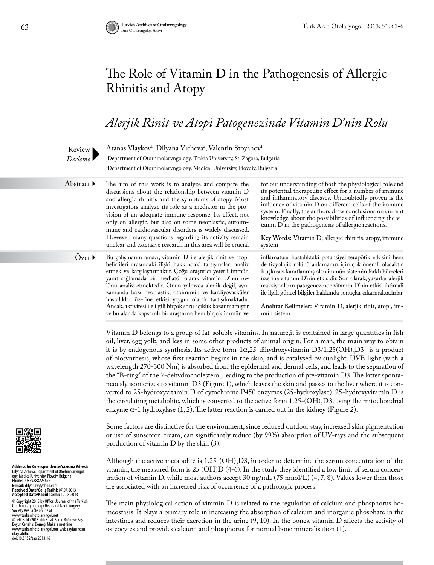# The Role of Vitamin D in the Pathogenesis of Allergic Rhinitis and Atopy

## *Alerjik Rinit ve Atopi Patogenezinde Vitamin D'nin Rolü*



Atanas Vlaykov<sup>1</sup>, Dilyana Vicheva<sup>2</sup>, Valentin Stoyanov<sup>1</sup> 1 Department of Otorhinolaryngology, Trakia University, St. Zagora, Bulgaria 2 Department of Otorhinolaryngology, Medical University, Plovdiv, Bulgaria

Abstract ▶

The aim of this work is to analyze and compare the discussions about the relationship between vitamin D and allergic rhinitis and the symptoms of atopy. Most investigators analyze its role as a mediator in the provision of an adequate immune response. Its effect, not only on allergic, but also on some neoplastic, autoimmune and cardiovascular disorders is widely discussed. However, many questions regarding its activity remain unclear and extensive research in this area will be crucial for our understanding of both the physiological role and its potential therapeutic effect for a number of immune and inflammatory diseases. Undoubtedly proven is the influence of vitamin D on different cells of the immune system. Finally, the authors draw conclusions on current knowledge about the possibilities of influencing the vitamin D in the pathogenesis of allergic reactions. **Key Words:** Vitamin D, allergic rhinitis, atopy, immune system inflamatuar hastalıktaki potansiyel terapötik etkisini hem

Bu çalışmanın amacı, vitamin D ile alerjik rinit ve atopi belirtileri arasındaki ilişki hakkındaki tartışmaları analiz etmek ve karşılaştırmaktır. Çoğu araştırıcı yeterli immün yanıt sağlamada bir mediatör olarak vitamin D'nin rolünü analiz etmektedir. Onun yalnızca alerjik değil, aynı zamanda bazı neoplastik, otoimmün ve kardiyovasküler hastalıklar üzerine etkisi yaygın olarak tartışılmaktadır. Ancak, aktivitesi ile ilgili birçok soru açıklık kazanmamıştır ve bu alanda kapsamlı bir araştırma hem birçok immün ve  $Özet \blacktriangleright$ 

de fizyolojik rolünü anlamamız için çok önemli olacaktır. Kuşkusuz kanıtlanmış olan immün sistemin farklı hücreleri üzerine vitamin D'nin etkisidir. Son olarak, yazarlar alerjik reaksiyonların patogenezinde vitamin D'nin etkisi ihtimali ile ilgili güncel bilgiler hakkında sonuçlar çıkarmaktadırlar.

**Anahtar Kelimeler:** Vitamin D, alerjik rinit, atopi, immün sistem

Vitamin D belongs to a group of fat-soluble vitamins. In nature,it is contained in large quantities in fish oil, liver, egg yolk, and less in some other products of animal origin. For a man, the main way to obtain it is by endogenous synthesis. Its active form-1 $\alpha$ ,25-dihydroxyvitamin D3/1.25(OH)<sub>2</sub>D3- is a product of biosynthesis, whose first reaction begins in the skin, and is catalysed by sunlight. UVB light (with a wavelength 270-300 Nm) is absorbed from the epidermal and dermal cells, and leads to the separation of the "B-ring" of the 7-dehydrocholesterol, leading to the production of pre-vitamin D3. The latter spontaneously isomerizes to vitamin D3 (Figure 1), which leaves the skin and passes to the liver where it is converted to 25-hydroxyvitamin D of cytochrome P450 enzymes (25-hydroxylase). 25-hydroxyvitamin D is the circulating metabolite, which is converted to the active form  $1.25$ -(OH)<sub>2</sub>D3, using the mitochondrial enzyme  $\alpha$ -1 hydroxylase  $(1, 2)$ . The latter reaction is carried out in the kidney (Figure 2).

Some factors are distinctive for the environment, since reduced outdoor stay, increased skin pigmentation or use of sunscreen cream, can significantly reduce (by 99%) absorption of UV-rays and the subsequent production of vitamin D by the skin (3).

Although the active metabolite is  $1.25$ -(OH)<sub>2</sub>D3, in order to determine the serum concentration of the vitamin, the measured form is 25 (OH)D (4-6). In the study they identified a low limit of serum concentration of vitamin D, while most authors accept 30 ng/mL (75 nmol/L) (4, 7, 8). Values lower than those are associated with an increased risk of occurrence of a pathologic process.

The main physiological action of vitamin D is related to the regulation of calcium and phosphorus homeostasis. It plays a primary role in increasing the absorption of calcium and inorganic phosphate in the intestines and reduces their excretion in the urine (9, 10). In the bones, vitamin D affects the activity of osteocytes and provides calcium and phosphorus for normal bone mineralisation (1).



**Address for Correspondence/Yazışma Adresi:**  Dilyana Vicheva, Department of Otorhinolaryngol-<br>ogy, Medical University, Plovdiv, Bulgaria<br>Phone: 00359888223675 **E-mail:** dilyanav@yahoo.com **Received Date/Geliş Tarihi:** 07.07.2013 **Accepted Date/Kabul Tarihi:** 12.08.2013 © Copyright 2013 by Offical Journal of the Turkish

Otorhinolaryngology Head and Neck Surgery Society Available online at www.turkarchotolaryngol.net © Telif Hakkı 2013 Türk Kulak Burun Boğaz ve Baş Boyun Cerrahisi Derneği Makale metnine www.turkarchotolaryngol.net web sayfasından ulaşılabilir. doi:10.5152/tao.2013.16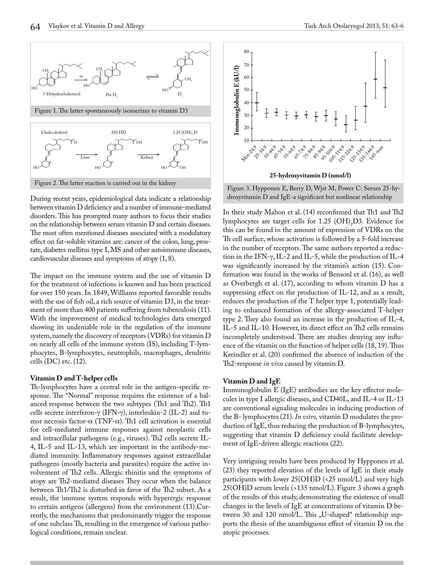

During recent years, epidemiological data indicate a relationship between vitamin D deficiency and a number of immune-mediated disorders. This has prompted many authors to focus their studies on the relationship between serum vitamin D and certain diseases. The most often mentioned diseases associated with a modulatory effect on fat-soluble vitamins are: cancer of the colon, lung, prostate, diabetes mellitus type I, MS and other autoimmune diseases, cardiovascular diseases and symptoms of atopy (1, 8).

The impact on the immune system and the use of vitamin D for the treatment of infections is known and has been practiced for over 150 years. In 1849, Williams reported favorable results with the use of fish oil, a rich source of vitamin D3, in the treatment of more than 400 patients suffering from tuberculosis (11). With the improvement of medical technologies data emerged showing its undeniable role in the regulation of the immune system, namely the discovery of receptors (VDRs) for vitamin D on nearly all cells of the immune system (IS), including T-lymphocytes, B-lymphocytes, neutrophils, macrophages, dendritic cells (DC) etc. (12).

#### **Vitamin D and T-helper cells**

Th-lymphocytes have a central role in the antigen-specific response. The "Normal" response requires the existence of a balanced response between the two subtypes (Th1 and Th2). Th1 cells secrete interferon-γ (IFN-γ), interleukin-2 (IL-2) and tumor necrosis factor-α (TNF-α). Th1 cell activation is essential for cell-mediated immune responses against neoplastic cells and intracellular pathogens (e.g., viruses). Th2 cells secrete IL-4, IL-5 and IL-13, which are important in the antibody-mediated immunity. Inflammatory responses against extracellular pathogens (mostly bacteria and parasites) require the active involvement of Th2 cells. Allergic rhinitis and the symptoms of atopy are Th2-mediated diseases They occur when the balance between Th1/Th2 is disturbed in favor of the Th2 subset. As a result, the immune system responds with hyperergic response to certain antigens (allergens) from the environment (13).Currently, the mechanisms that predominantly trigger the response of one subclass Th, resulting in the emergence of various pathological conditions, remain unclear.



In their study Mahon et al. (14) reconfirmed that Th1 and Th2 lymphocytes are target cells for  $1.25$  (OH)<sub>2</sub>D3. Evidence for this can be found in the amount of expression of VDRs on the Th cell surface, whose activation is followed by a 5-fold increase in the number of receptors. The same authors reported a reduction in the IFN-γ, IL-2 and IL-5, while the production of IL-4 was significantly increased by the vitamin's action (15). Confirmation was found in the works of Bensonl et al. (16), as well as Overbergh et al. (17), according to whom vitamin D has a suppressing effect on the production of IL-12, and as a result, reduces the production of the T helper type 1, potentially leading to enhanced formation of the allergy-associated T-helper type 2. They also found an increase in the production of IL-4, IL-5 and IL-10. However, its direct effect on Th2 cells remains incompletely understood. There are studies denying any influence of the vitamin on the function of helper cells (18, 19). Thus Kreindler et al. (20) confirmed the absence of induction of the Th2-response *in vivo* caused by vitamin D.

#### **Vitamin D and IgE**

Immunoglobulin E (IgE) antibodies are the key effector molecules in type I allergic diseases, and CD40L, and IL-4 or IL-13 are conventional signaling molecules in inducing production of the B- lymphocytes (21). *In vitro,* vitamin D modulates the production of IgE, thus reducing the production of B-lymphocytes, suggesting that vitamin D deficiency could facilitate development of IgE-driven allergic reactions (22).

Very intriguing results have been produced by Hypponen et al. (23) they reported elevation of the levels of IgE in their study participants with lower  $25(OH)D$  (<25 nmol/L) and very high 25(OH)D serum levels (>135 nmol/L). Figure 3 shows a graph of the results of this study, demonstrating the existence of small changes in the levels of IgE at concentrations of vitamin D between 30 and 120 nmol/L. This "U-shaped" relationship supports the thesis of the unambiguous effect of vitamin D on the atopic processes.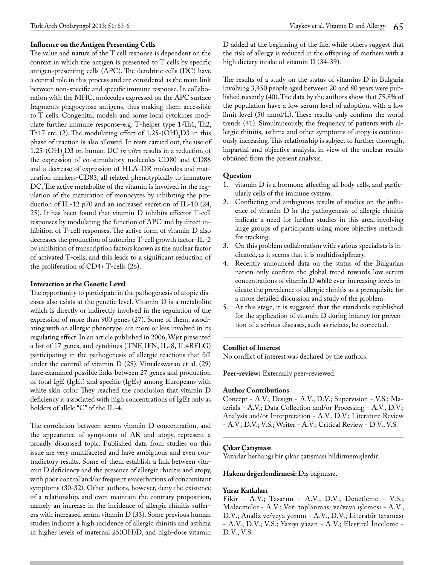#### **Influence on the Antigen Presenting Cells**

The value and nature of the T cell response is dependent on the context in which the antigen is presented to T cells by specific antigen-presenting cells (APC). The dendritic cells (DC) have a central role in this process and are considered as the main link between non-specific and specific immune response. In collaboration with the MHC, molecules expressed on the APC surface fragments phagocytose antigens, thus making them accessible to T cells. Congenital models and some local cytokines modulate further immune response-e.g. T-helper type 1-Th1, Th2, Th17 etc. (2). The modulating effect of  $1,25$ -(OH)<sub>2</sub>D3 in this phase of reaction is also allowed. In tests carried out, the use of 1,25- $(OH)_{2}D3$  on human DC *in vitro* results in a reduction of the expression of co-stimulatory molecules CD80 and CD86 and a decrease of expression of HLA-DR molecules and maturation markers-CD83, all related phenotypically to immature DC. The active metabolite of the vitamin is involved in the regulation of the maturation of monocytes by inhibiting the production of IL-12 p70 and an increased secretion of IL-10 (24, 25). It has been found that vitamin D inhibits effector T-cell responses by modulating the function of APC and by direct inhibition of T-cell responses. The active form of vitamin D also decreases the production of autocrine T-cell growth factor-IL-2 by inhibition of transcription factors known as the nuclear factor of activated T-cells, and this leads to a significant reduction of the proliferation of CD4+ T-cells (26).

#### **Interaction at the Genetic Level**

The opportunity to participate in the pathogenesis of atopic diseases also exists at the genetic level. Vitamin D is a metabolite which is directly or indirectly involved in the regulation of the expression of more than 900 genes (27). Some of them, associating with an allergic phenotype, are more or less involved in its regulating effect. In an article published in 2006, Wjst presented a list of 17 genes, and cytokines (TNF, IFN, IL-8, IL4RFLG) participating in the pathogenesis of allergic reactions that fall under the control of vitamin D (28). Vimaleswaran et al. (29) have examined possible links between 27 genes and production of total IgE (IgEt) and specific (IgEs) among Europeans with white skin color. They reached the conclusion that vitamin D deficiency is associated with high concentrations of IgEt only as holders of allele "C" of the IL-4.

The correlation between serum vitamin D concentration, and the appearance of symptoms of AR and atopy, represent a broadly discussed topic. Published data from studies on this issue are very multifaceted and have ambiguous and even contradictory results. Some of them establish a link between vitamin D deficiency and the presence of allergic rhinitis and atopy, with poor control and/or frequent exacerbations of concomitant symptoms (30-32). Other authors, however, deny the existence of a relationship, and even maintain the contrary proposition, namely an increase in the incidence of allergic rhinitis sufferers with increased serum vitamin D (33). Some previous human studies indicate a high incidence of allergic rhinitis and asthma in higher levels of maternal 25(OH)D, and high-dose vitamin

D added at the beginning of the life, while others suggest that the risk of allergy is reduced in the offspring of mothers with a high dietary intake of vitamin D (34-39).

The results of a study on the status of vitamins D in Bulgaria involving 3,450 people aged between 20 and 80 years were published recently (40). The data by the authors show that 75.8% of the population have a low serum level of adoption, with a low limit level (50 nmol/L). These results only confirm the world trends (41). Simultaneously, the frequency of patients with allergic rhinitis, asthma and other symptoms of atopy is continuously increasing. This relationship is subject to further thorough, impartial and objective analysis, in view of the unclear results obtained from the present analysis.

#### **Question**

- 1. vitamin D is a hormone affecting all body cells, and particularly cells of the immune system.
- 2. Conflicting and ambiguous results of studies on the influence of vitamin D in the pathogenesis of allergic rhinitis indicate a need for further studies in this area, involving large groups of participants using more objective methods for tracking.
- 3. On this problem collaboration with various specialists is indicated, as it seems that it is multidisciplinary.
- 4. Recently announced data on the status of the Bulgarian nation only confirm the global trend towards low serum concentrations of vitamin D while ever-increasing levels indicate the prevalence of allergic rhinitis as a prerequisite for a more detailed discussion and study of the problem.
- 5. At this stage, it is suggesed that the standards established for the application of vitamin D during infancy for prevention of a serious diseases, such as rickets, be corrected.

#### **Conflict of Interest**

No conflict of interest was declared by the authors.

**Peer-review:** Externally peer-reviewed.

#### **Author Contributions**

Concept - A.V.; Design - A.V., D.V.; Supervision - V.S.; Materials - A.V.; Data Collection and/or Processing - A.V., D.V.; Analysis and/or Interpretation - A.V., D.V.; Literature Review - A.V., D.V.; V.S.; Writer - A.V.; Critical Review - D.V., V.S.

### **Çıkar Çatışması**

Yazarlar herhangi bir çıkar çatışması bildirmemişlerdir.

#### **Hakem değerlendirmesi:** Dış bağımsız.

### **Yazar Katkıları**

Fikir - A.V.; Tasarım - A.V., D.V.; Denetleme - V.S.; Malzemeler - A.V.; Veri toplanması ve/veya işlemesi - A.V., D.V.; Analiz ve/veya yorum - A.V., D.V.; Literatür taraması - A.V., D.V.; V.S.; Yazıyı yazan - A.V.; Eleştirel İnceleme - D.V., V.S.